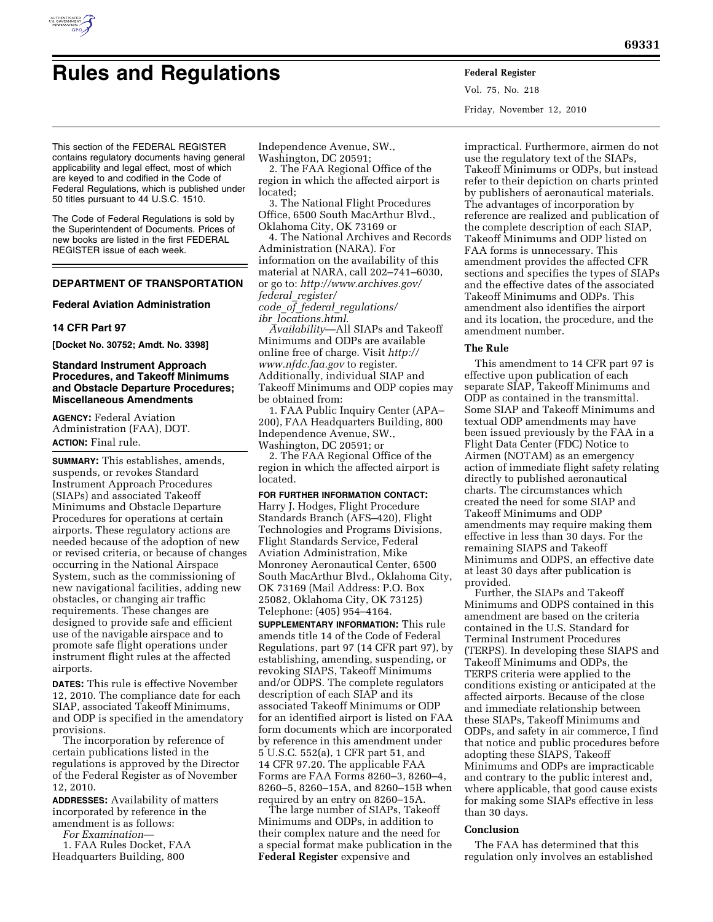

# **Rules and Regulations Federal Register**

Vol. 75, No. 218 Friday, November 12, 2010

This section of the FEDERAL REGISTER contains regulatory documents having general applicability and legal effect, most of which are keyed to and codified in the Code of Federal Regulations, which is published under 50 titles pursuant to 44 U.S.C. 1510.

The Code of Federal Regulations is sold by the Superintendent of Documents. Prices of new books are listed in the first FEDERAL REGISTER issue of each week.

# **DEPARTMENT OF TRANSPORTATION**

#### **Federal Aviation Administration**

# **14 CFR Part 97**

**[Docket No. 30752; Amdt. No. 3398]** 

# **Standard Instrument Approach Procedures, and Takeoff Minimums and Obstacle Departure Procedures; Miscellaneous Amendments**

**AGENCY:** Federal Aviation Administration (FAA), DOT. **ACTION:** Final rule.

**SUMMARY:** This establishes, amends, suspends, or revokes Standard Instrument Approach Procedures (SIAPs) and associated Takeoff Minimums and Obstacle Departure Procedures for operations at certain airports. These regulatory actions are needed because of the adoption of new or revised criteria, or because of changes occurring in the National Airspace System, such as the commissioning of new navigational facilities, adding new obstacles, or changing air traffic requirements. These changes are designed to provide safe and efficient use of the navigable airspace and to promote safe flight operations under instrument flight rules at the affected airports.

**DATES:** This rule is effective November 12, 2010. The compliance date for each SIAP, associated Takeoff Minimums, and ODP is specified in the amendatory provisions.

The incorporation by reference of certain publications listed in the regulations is approved by the Director of the Federal Register as of November 12, 2010.

**ADDRESSES:** Availability of matters incorporated by reference in the amendment is as follows:

*For Examination*—

1. FAA Rules Docket, FAA Headquarters Building, 800

Independence Avenue, SW.,

Washington, DC 20591; 2. The FAA Regional Office of the region in which the affected airport is

located;

3. The National Flight Procedures Office, 6500 South MacArthur Blvd., Oklahoma City, OK 73169 or

4. The National Archives and Records Administration (NARA). For information on the availability of this material at NARA, call 202–741–6030, or go to: *[http://www.archives.gov/](http://www.archives.gov/federal_register/code_of_federal_regulations/ibr_locations.html)  federal*\_*register/ code*\_*of*\_*federal*\_*regulations/* 

*ibr*\_*locations.html*.

*Availability*—All SIAPs and Takeoff Minimums and ODPs are available online free of charge. Visit *[http://](http://www.nfdc.faa.gov)  [www.nfdc.faa.gov](http://www.nfdc.faa.gov)* to register. Additionally, individual SIAP and Takeoff Minimums and ODP copies may be obtained from:

1. FAA Public Inquiry Center (APA– 200), FAA Headquarters Building, 800 Independence Avenue, SW., Washington, DC 20591; or

2. The FAA Regional Office of the region in which the affected airport is located.

#### **FOR FURTHER INFORMATION CONTACT:**

Harry J. Hodges, Flight Procedure Standards Branch (AFS–420), Flight Technologies and Programs Divisions, Flight Standards Service, Federal Aviation Administration, Mike Monroney Aeronautical Center, 6500 South MacArthur Blvd., Oklahoma City, OK 73169 (Mail Address: P.O. Box 25082, Oklahoma City, OK 73125) Telephone: (405) 954–4164.

**SUPPLEMENTARY INFORMATION:** This rule amends title 14 of the Code of Federal Regulations, part 97 (14 CFR part 97), by establishing, amending, suspending, or revoking SIAPS, Takeoff Minimums and/or ODPS. The complete regulators description of each SIAP and its associated Takeoff Minimums or ODP for an identified airport is listed on FAA form documents which are incorporated by reference in this amendment under 5 U.S.C. 552(a), 1 CFR part 51, and 14 CFR 97.20. The applicable FAA Forms are FAA Forms 8260–3, 8260–4, 8260–5, 8260–15A, and 8260–15B when required by an entry on 8260–15A.

The large number of SIAPs, Takeoff Minimums and ODPs, in addition to their complex nature and the need for a special format make publication in the **Federal Register** expensive and

impractical. Furthermore, airmen do not use the regulatory text of the SIAPs, Takeoff Minimums or ODPs, but instead refer to their depiction on charts printed by publishers of aeronautical materials. The advantages of incorporation by reference are realized and publication of the complete description of each SIAP, Takeoff Minimums and ODP listed on FAA forms is unnecessary. This amendment provides the affected CFR sections and specifies the types of SIAPs and the effective dates of the associated Takeoff Minimums and ODPs. This amendment also identifies the airport and its location, the procedure, and the amendment number.

#### **The Rule**

This amendment to 14 CFR part 97 is effective upon publication of each separate SIAP, Takeoff Minimums and ODP as contained in the transmittal. Some SIAP and Takeoff Minimums and textual ODP amendments may have been issued previously by the FAA in a Flight Data Center (FDC) Notice to Airmen (NOTAM) as an emergency action of immediate flight safety relating directly to published aeronautical charts. The circumstances which created the need for some SIAP and Takeoff Minimums and ODP amendments may require making them effective in less than 30 days. For the remaining SIAPS and Takeoff Minimums and ODPS, an effective date at least 30 days after publication is provided.

Further, the SIAPs and Takeoff Minimums and ODPS contained in this amendment are based on the criteria contained in the U.S. Standard for Terminal Instrument Procedures (TERPS). In developing these SIAPS and Takeoff Minimums and ODPs, the TERPS criteria were applied to the conditions existing or anticipated at the affected airports. Because of the close and immediate relationship between these SIAPs, Takeoff Minimums and ODPs, and safety in air commerce, I find that notice and public procedures before adopting these SIAPS, Takeoff Minimums and ODPs are impracticable and contrary to the public interest and, where applicable, that good cause exists for making some SIAPs effective in less than 30 days.

#### **Conclusion**

The FAA has determined that this regulation only involves an established